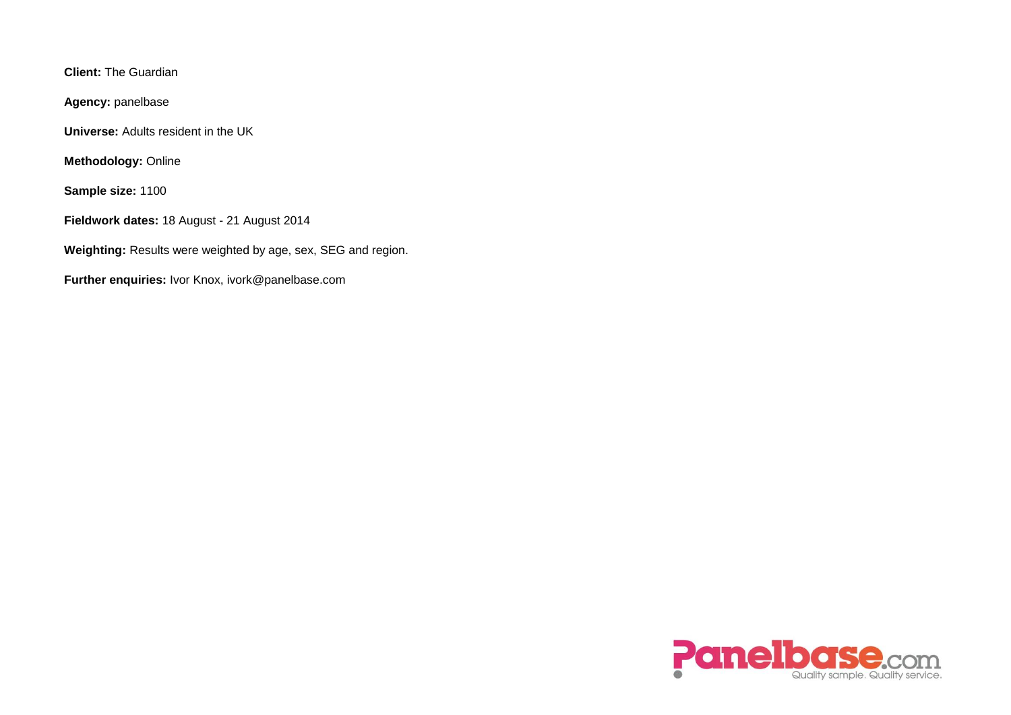**Client:** The Guardian

**Agency:** panelbase

**Universe:** Adults resident in the UK

**Methodology:** Online

**Sample size:** 1100

**Fieldwork dates:** 18 August - 21 August 2014

**Weighting:** Results were weighted by age, sex, SEG and region.

**Further enquiries:** Ivor Knox, ivork@panelbase.com

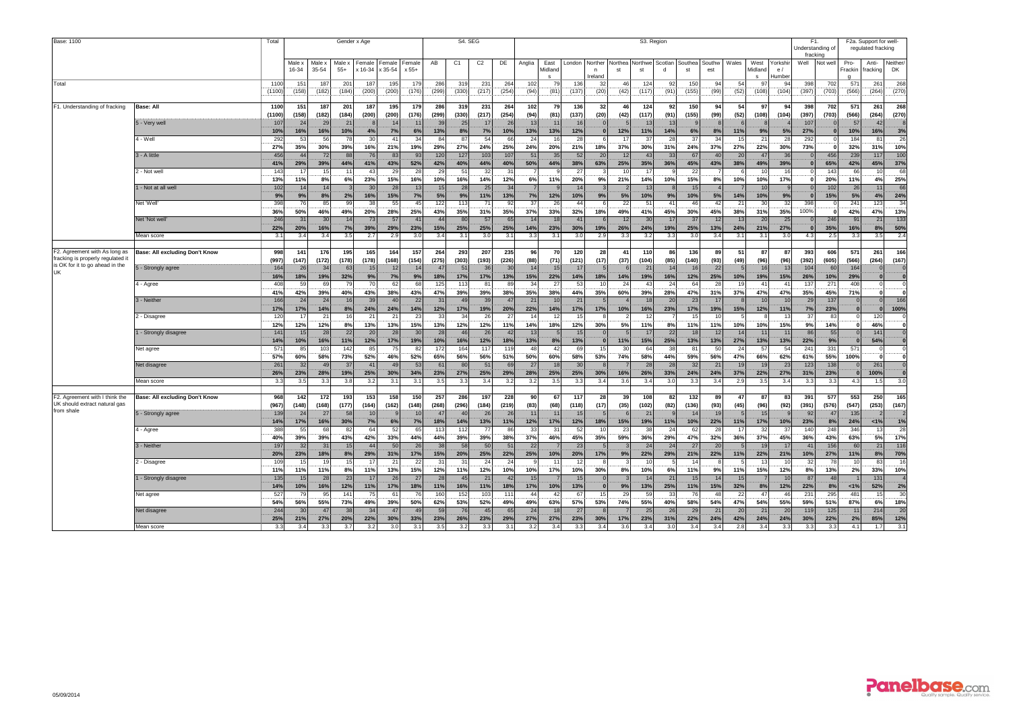| Base: 1100                                                                    |                                |                |                       |                 | S4. SEG         |                   |                                        |                     |                       | S3. Region     |                |                       |             |                                 |                               |                                   |              |                       |                      |               |               |            |                                 | F2a. Support for well-<br>regulated fracking |                     |                      |                            |                   |                       |
|-------------------------------------------------------------------------------|--------------------------------|----------------|-----------------------|-----------------|-----------------|-------------------|----------------------------------------|---------------------|-----------------------|----------------|----------------|-----------------------|-------------|---------------------------------|-------------------------------|-----------------------------------|--------------|-----------------------|----------------------|---------------|---------------|------------|---------------------------------|----------------------------------------------|---------------------|----------------------|----------------------------|-------------------|-----------------------|
|                                                                               |                                |                | Male x<br>16-34       | Male ><br>35-54 | Male x<br>$55+$ | Female<br>x 16-34 | Female<br>Female<br>x 35-54<br>$x 55+$ |                     | AB                    | C <sub>1</sub> | C <sub>2</sub> | DE                    | Anglia      | East<br>Midland<br>$\mathbf{s}$ | London                        | Northe<br>$\mathsf{n}$<br>Ireland | Vorthe<br>st | <b>Northwe</b><br>st  | Scotlan              | Southea<br>st | Southw<br>est | Wales      | West<br>Midland<br>$\mathbf{s}$ | Yorkshi<br>e/<br>Humber                      | fracking<br>Well    | Not well             | Pro-<br>Frackin            | Anti-<br>fracking | Neither<br><b>DK</b>  |
| Total                                                                         |                                | 1100<br>(1100) | 151<br>(158)          | 187<br>(182)    | 201<br>(184)    | 187<br>(200)      | 195<br>(200)                           | 179<br>(176)        | 286<br>(299)          | 319<br>(330)   | 231<br>(217)   | 264<br>(254)          | 102<br>(94) | 79<br>(81)                      | 136<br>(137)                  | 32<br>(20)                        | 46<br>(42)   | 124<br>(117)          | 92<br>(91)           | 150<br>(155)  | 94<br>(99)    | 54<br>(52) | 97<br>(108)                     | 94<br>(104)                                  | 398<br>(397)        | 702<br>(703)         | 571<br>(566)               | 261<br>(264)      | 268<br>(270)          |
| F1. Understanding of fracking                                                 | Base: All                      | 110<br>(1100)  | 151<br>(158)          | 187<br>(182)    | 201<br>(184)    | 187<br>(200)      | 195<br>(200)                           | 179<br>(176)        | 286<br>(299)          | 319<br>(330)   | 231<br>(217)   | 264<br>(254)          | 102<br>(94) | 79<br>(81)                      | 136<br>(137)                  | 32<br>(20)                        | 46<br>(42)   | 124<br>(117)          | 92<br>(91)           | 150<br>(155)  | 94<br>(99)    | 54<br>(52) | 97<br>(108)                     | 94<br>(104)                                  | 398<br>(397)        | 702<br>(703)         | 571<br>(566)               | 261<br>(264)      | 268<br>(270)          |
|                                                                               | 5 - Very well                  | 107            | 24                    | 29              | 21              |                   | 14                                     | 1 <sup>1</sup>      | 3 <sup>c</sup>        | 25             | 17             | 26                    | 13          | 11                              | 16                            |                                   |              | 13                    | 13                   |               |               |            |                                 |                                              | 107                 |                      | 57                         | 42                |                       |
|                                                                               | 4 - Well                       | 10%<br>292     | 16%<br>53             | 16%<br>56       | 10%<br>78       | 4%<br>30          | 7%<br>41                               | 6%<br>34            | 13%<br>84             | 8%<br>87       | 7%<br>54       | 10%<br>61             | 13%<br>24   | 13%<br>16                       | 12%<br>28                     |                                   | 12%<br>17    | 11%<br>37             | 14%<br>28            | 6%<br>37      | 8%<br>34      | 11%<br>15  | 9%<br>21                        | 5%<br>28                                     | 27%<br>292          |                      | 10%<br>184                 | 16%<br>81         | 3%<br>26              |
|                                                                               | 3 - A little                   | 27%<br>456     | 35%<br>$\Delta\Delta$ | 30%<br>72       | 39%<br>88       | 16%<br>76         | 21%<br>83                              | 19%<br>93           | 29%<br>120            | 27%<br>127     | 24%<br>103     | 25%<br>107            | 24%<br>51   | 20%<br>35                       | 21%<br>52                     | 18%<br>20                         | 37%<br>12    | 30%<br>$\Delta$ 3     | 31%<br>33            | 24%<br>67     | 37%<br>40     | 27%<br>20  | 22%<br>47                       | 30%<br>36                                    | 73%<br>$\Omega$     | 456                  | 32%<br>239                 | 31%<br>117        | 10%<br>100            |
|                                                                               | 2 - Not well                   | 41%<br>143     | 29%<br>17             | 39%<br>15       | 44%<br>11       | 41%<br>43         | 43%<br>29                              | 52%<br>28           | 42%<br>29             | 40%<br>51      | 44%<br>32      | 40%<br>$\mathcal{B}$  | 50%         | 44%                             | 38%<br>27                     | 63%                               | 25%<br>10    | 35%<br>$\overline{1}$ | 36%                  | 45%<br>22     | 43%           | 38%        | 49%<br>10                       | 39%                                          | $\bf{0}$            | 65%<br>143           | 42%<br>66                  | 45%<br>10         | 37%<br>68             |
|                                                                               | - Not at all well              | 13%<br>102     | 11%<br>14             | 8%<br>14        | 6%              | 23%<br>30         | 15%<br>28                              | 16%<br>13           | 10%<br>15             | 16%<br>28      | 14%<br>25      | 12%<br>3 <sub>4</sub> | 6%          | 11%                             | 20%<br>14                     | 9%                                | 21%          | 14%<br>13             | 10%                  | 15%<br>15     | 8%            | 10%        | 10%<br>10                       | 17%                                          | ΩI                  | 20%<br>102           | 11%<br>26                  | 4%<br>11          | 25%<br>66             |
|                                                                               | Net 'Well'                     | 9%<br>398      | 9%<br>76              | 8%<br>85        | 2%<br>99        | 16%<br>38         | 15%<br>55                              | 7%<br>45            | 5%<br>122             | 9%<br>113      | 11%<br>71      | 13%<br>9.             | 7%<br>37    | 12%<br>$\mathcal{P}$            | 10%<br>44                     | 9%                                | 5%<br>22     | 10%<br>$5^{\circ}$    | 9%<br>41             | 10%<br>46     | 5%<br>42      | 14%<br>21  | 10%<br>30                       | 9%<br>32                                     | $\mathbf{0}$<br>398 | 15%                  | 5%<br>241                  | 4%<br>123         | 24%<br>34             |
|                                                                               |                                | 36%            | 50%                   | 46%             | 49%             | 20%               | 28%                                    | 25%                 | 43%                   | 35%            | 31%            | 35%                   | 37%         | 33%                             | 32%                           | 18%                               | 49%          | 41%                   | 45%                  | 30%           | 45%           | 38%        | 31%                             | 35%                                          | 100%                |                      | 42%                        | 47%               | 13%                   |
|                                                                               | Net 'Not well                  | 246<br>22%     | 31<br>20%             | 30<br>16%       | 7%              | 73<br>39%         | 57<br>29%                              | $\mathbf{A}$<br>23% | $\Delta\Delta$<br>15% | 80<br>25%      | 57<br>25%      | 6!<br>25%             | 14<br>14%   | 18<br>23%                       | $\Lambda$ <sup>1</sup><br>30% | 19%                               | 12<br>26%    | $\mathcal{R}$<br>24%  | 17<br>19%            | 37<br>25%     | 12<br>13%     | 13<br>24%  | 20<br>21%                       | 25<br>27%                                    | $\mathbf{0}$        | 246<br>35%           | 91<br>16%                  | 21<br>8%          | 133<br>50%            |
|                                                                               | Mean score                     | 3.2            | 3.4                   | 3.4             | 3.5             | 2.7               | 2.9                                    | 3.0                 | 3.4                   | 3.1            | 3.0            | 3.1                   | 3.3         | 3.1                             | 3.0                           | 2.9                               | 3.3          | 3.2                   | 3.3                  | 3.0           | 3.4           | 3.1        | 3.1                             | 3.0                                          | 4.3                 | 2.5                  | 3.3                        | 3.5               | 2.4                   |
| F2. Agreement with As long as<br>fracking is properly regulated it            | Base: All excluding Don't Know | 998<br>(997    | 141<br>(147)          | 176<br>(172)    | 195<br>(178)    | 165<br>(178)      | 164<br>(168)                           | 157<br>(154)        | 264<br>(275)          | 293<br>(303)   | 207<br>(193)   | 235<br>(226)          | 96<br>(88)  | 70<br>(71)                      | 120<br>(121)                  | 28<br>(17)                        | 41<br>(37)   | 110<br>(104)          | 86<br>(85)           | 136<br>(140)  | 89<br>(93)    | 51<br>(49) | 87<br>(96)                      | 87<br>(96)                                   | 393<br>(392)        | 606<br>(605)         | 571<br>(566)               | 261<br>(264)      | 166<br>(167)          |
| is OK for it to go ahead in the<br>UK                                         | - Strongly agree               | 164<br>16%     | 26<br>18%             | 34<br>19%       | 63<br>32%       | 15<br>9%          | 12<br>7%                               | 14<br>9%            | 47<br>18%             | 51<br>17%      | 36<br>17%      | 3 <sub>0</sub><br>13% | 14<br>15%   | 15<br>22%                       | 17<br>14%                     | 18%                               | 14%          | $2^{\prime}$<br>19%   | 14<br>16%            | 16<br>12%     | 22<br>25%     | 10%        | 16<br>19%                       | 13<br>15%                                    | 104<br>26%          | 60<br>10%            | 164<br>29%                 | $\bf{0}$          |                       |
|                                                                               | 4 - Agree                      | 408            | 59                    | 69              | 79              | 70                | 62                                     | 68                  | 125                   | 113            | 81             | 89                    | 34          | 27                              | 53                            | 10                                | 24           | 43                    | 24                   | 64            | 28            | 19         | 41                              | 41                                           | 137                 | 271                  | 408                        | $\Omega$          |                       |
|                                                                               | 3 - Neither                    | 41%<br>166     | 42%<br>24             | 39%<br>24       | 40%<br>16       | 43%<br>39         | 38%<br>40                              | 43%<br>22           | 47%<br>31             | 39%<br>49      | 39%<br>39      | 38%<br>$\mathbf{A}$   | 35%<br>21   | 38%<br>10                       | 44%<br>21                     | 35%                               | 60%          | 39%<br>18             | 28%<br>20            | 47%<br>23     | 31%<br>17     | 37%        | 47%<br>10                       | 47%<br>10                                    | 35%<br>29           | 45%<br>137           | 71%<br>$\mathbf{0}$        |                   | 166                   |
|                                                                               | 2 - Disagree                   | 17%<br>120     | 17%<br>17             | 14%<br>21       | 8%<br>16        | 24%<br>21         | 24%<br>21                              | 14%<br>23           | 12%<br>33             | 17%<br>34      | 19%<br>26      | 20%<br>$\mathcal{D}$  | 22%<br>14   | 14%<br>12                       | 17%<br>15                     | 17%                               | 10%          | 16%<br>-12            | 23%                  | 17%<br>15     | 19%<br>10     | 15%        | 12%                             | 11%                                          | 7%<br>37            | 23%<br>-83           | $\mathbf{0}$<br>$^{\circ}$ | 120               | 100%                  |
|                                                                               | - Strongly disagree            | 12%<br>141     | 12%<br>15             | 12%<br>28       | 8%<br>22        | 13%<br>20         | 13%<br>28                              | 15%<br>30           | 13%<br>28             | 12%<br>46      | 12%<br>26      | 11%<br>4 <sup>2</sup> | 14%<br>13   | 18%                             | 12%<br>15                     | 30%                               | 5%           | 11%<br>11             | 8%<br>22             | 11%<br>18     | 11%<br>12     | 10%<br>14  | 10%<br>11                       | 15%<br>11                                    | 9%<br>86            | 14%<br>55            | 0<br>$\Omega$              | 46%<br>141        |                       |
|                                                                               | Net agree                      | 14%<br>57      | 10%<br>85             | 16%<br>103      | 11%<br>142      | 12%<br>85         | 17%<br>75                              | 19%<br>82           | 10%<br>172            | 16%<br>164     | 12%<br>117     | 18%<br>119            | 13%<br>48   | 8%<br>42                        | 13%<br>69                     | 15                                | 11%<br>30    | 15%<br>64             | 25%<br>38            | 13%<br>81     | 13%<br>50     | 27%<br>24  | 13%<br>57                       | 13%<br>-54                                   | 22%<br>241          | 9%<br>331            | $\mathbf{0}$<br>571        | 54%               |                       |
|                                                                               | Net disagree                   | 57%<br>26'     | 60%<br>32             | 58%<br>49       | 73%<br>37       | 52%<br>41         | 46%<br>40                              | 52%<br>5:           | 65%<br>6'             | 56%<br>80      | 56%<br>51      | 51%<br>6              | 50%<br>27   | 60%<br>18                       | 58%<br>$\mathcal{R}$          | 53%                               | 74%          | 58%<br>28             | 44%<br>28            | 59%<br>32     | 56%<br>21     | 47%<br>19  | 66%<br>19                       | 62%<br>23                                    | 61%<br>123          | 55%<br>138           | 100%                       | 0<br>261          | 0                     |
|                                                                               |                                | 26%<br>3.3     | 23%                   | 28%<br>3.3      | 19%<br>3.8      | 25%               | 30%                                    | 34%<br>3.1          | 23%                   | 27%            | 25%            | 29%                   | 28%         | 25%                             | 25%                           | 30%                               | 16%          | 26%<br>3.4            | 33%                  | 24%           | 24%           | 37%        | 22%                             | 27%                                          | 31%                 | 23%                  | $\mathbf{0}$               | 100%              |                       |
|                                                                               | Mean score                     |                | 3.5                   |                 |                 | 3.2               | 3.1                                    |                     | 3.5                   | 3.3            | 3.4            | 3.2                   | 3.2         | 3.5                             | 3.3                           | 3.4                               | 3.6          |                       | 3.0                  | 3.3           | 3.4           | 2.9        | 3.5                             | 3.4                                          | 3.3                 | 3.3                  | 4.3                        | 1.5               | 3.0                   |
| F2. Agreement with I think the<br>UK should extract natural gas<br>from shale | Base: All excluding Don't Know | 968<br>(967    | 142<br>(148)          | 172<br>(168)    | 193<br>(177)    | 153<br>(164)      | 158<br>(162)                           | 150<br>(148)        | 257<br>(268)          | 286<br>(296)   | 197<br>(184)   | 228<br>(219)          | 90<br>(83)  | 67<br>(68)                      | 117<br>(118)                  | 28<br>(17)                        | 39<br>(35)   | 108<br>(102)          | 82<br>(82)           | 132<br>(136)  | 89<br>(93)    | 47<br>(45) | 87<br>(96)                      | 83<br>(92)                                   | 391<br>(391)        | 577<br>(576)         | 553<br>(547)               | 250<br>(253)      | 165<br>(167)          |
|                                                                               | 5 - Strongly agree             | 139<br>14%     | 24<br>17%             | 27<br>16%       | 58<br>30%       | 10<br>7%          | 6%                                     | 10<br>7%            | 47<br>18%             | 40<br>14%      | 26<br>13%      | 2 <sup>0</sup><br>11% | 11<br>12%   | 11<br>17%                       | 15<br>12%                     | 18%                               | 15%          | $2^{\prime}$<br>19%   | 11%                  | 14<br>10%     | 19<br>22%     | 11%        | 15<br>17%                       | 10%                                          | 92<br>23%           | 4 <sub>1</sub><br>8% | 135<br>24%                 | 1%                | 1%                    |
|                                                                               | 4 - Agree                      | 388<br>40%     | 55<br>39%             | 68<br>39%       | 82<br>43%       | 64<br>42%         | 52<br>33%                              | 65<br>44%           | 113<br>44%            | 112<br>39%     | 77<br>39%      | 86<br>38%             | 33<br>37%   | 31<br>46%                       | 52<br>45%                     | 10<br>35%                         | 23<br>59%    | 38<br>36%             | 24<br>29%            | 62<br>47%     | 28<br>32%     | 17<br>36%  | 32<br>37%                       | 37<br>45%                                    | 140<br>36%          | 248<br>43%           | 346<br>63%                 | 13<br>5%          | 28<br>17%             |
|                                                                               | 3 - Neither                    | 197<br>20%     | 32<br>23%             | 31<br>18%       | 15<br>8%        | 44<br>29%         | 50<br>31%                              | 26<br>17%           | 38<br>15%             | 58<br>20%      | 50<br>25%      | 5'<br>22%             | 22<br>25%   | 10%                             | 2:<br>20%                     | 17%                               | 9%           | $\overline{2}$<br>22% | 24<br>29%            | 27<br>21%     | 20<br>22%     | 11%        | 19<br>22%                       | 17<br>21%                                    | 41<br>10%           | 156<br>27%           | 60<br>11%                  | 21<br>8%          | 116<br>70%            |
|                                                                               | 2 - Disagree                   | 109<br>11%     | 15                    | 19              |                 |                   | 21                                     | $\gamma$            | 3'                    | 31             | 24             | 2<br>10%              |             | 11                              |                               |                                   |              |                       | 6%                   | 14<br>11%     |               |            | 13                              |                                              | 32                  | 7s                   | 10                         | 83                |                       |
|                                                                               | - Strongly disagree            | 135            | 11%<br>15             | 11%<br>28       | 8%<br>23        | 11%<br>17         | 13%<br>26                              | 15%<br>27           | 12%<br>28             | 11%<br>45      | 12%<br>21      | 4 <sup>2</sup>        | 10%<br>15   | 17%                             | 10%                           | 30%                               | 8%           | 10%                   | $2^{\circ}$          | 15            | 9%<br>14      | 11%<br>15  | 15%                             | 12%                                          | 8%<br>87            | 13%<br>48            | 2%                         | 33%<br>131        | 10%                   |
|                                                                               | Net agree                      | 14%<br>527     | 10%<br>79             | 16%<br>95       | 12%<br>141      | 11%<br>75         | 17%<br>61                              | 18%<br>76           | 11%<br>160            | 16%<br>152     | 11%<br>103     | 18%<br>11             | 17%<br>44   | 10%<br>42                       | 13%<br>67                     | 15                                | 9%<br>29     | 13%<br>59             | 25%<br>33            | 11%<br>76     | 15%<br>48     | 32%<br>22  | 8%<br>47                        | 12%<br>46                                    | 22%<br>231          | 8%<br>295            | 1%<br>481                  | 52%<br>15         | 2%<br>$\overline{30}$ |
|                                                                               | Net disagree                   | 54%<br>244     | 56%<br>30             | 55%<br>47       | 73%<br>38       | 49%<br>34         | 39%<br>$\Delta$ 7                      | 50%<br>$\Lambda$    | 62%<br>5 <sup>c</sup> | 53%<br>76      | 52%<br>45      | 49%<br>6!             | 49%<br>24   | 63%                             | 57%<br>27                     | 53%                               | 74%          | 55%<br>2!             | 40%<br>$\mathcal{P}$ | 58%<br>29     | 54%<br>21     | 47%<br>20  | 54%<br>21                       | 55%<br>20                                    | 59%<br>119          | 51%<br>125           | 87%<br>11                  | 6%<br>214         | 18%<br>20             |
|                                                                               | Mean score                     | 25%<br>3.3     | 21%<br>3.4            | 27%<br>3.3      | 20%<br>3.7      | 22%<br>3.2        | 30%<br>3.0                             | 33%<br>3.1          | 23%<br>3.5            | 26%<br>3.2     | 23%<br>3.3     | 29%<br>3.1            | 27%<br>3.2  | 27%<br>3.4                      | 23%<br>3.3                    | 30%<br>3.4                        | 17%<br>3.6   | 23%<br>3.4            | 31%<br>3.0           | 22%<br>3.4    | 24%<br>3.4    | 42%<br>2.8 | 24%<br>3.4                      | 24%<br>3.3                                   | 30%<br>3.3          | 22%<br>3.3           | 2%<br>41                   | 85%<br>17         | 12%<br>3.1            |

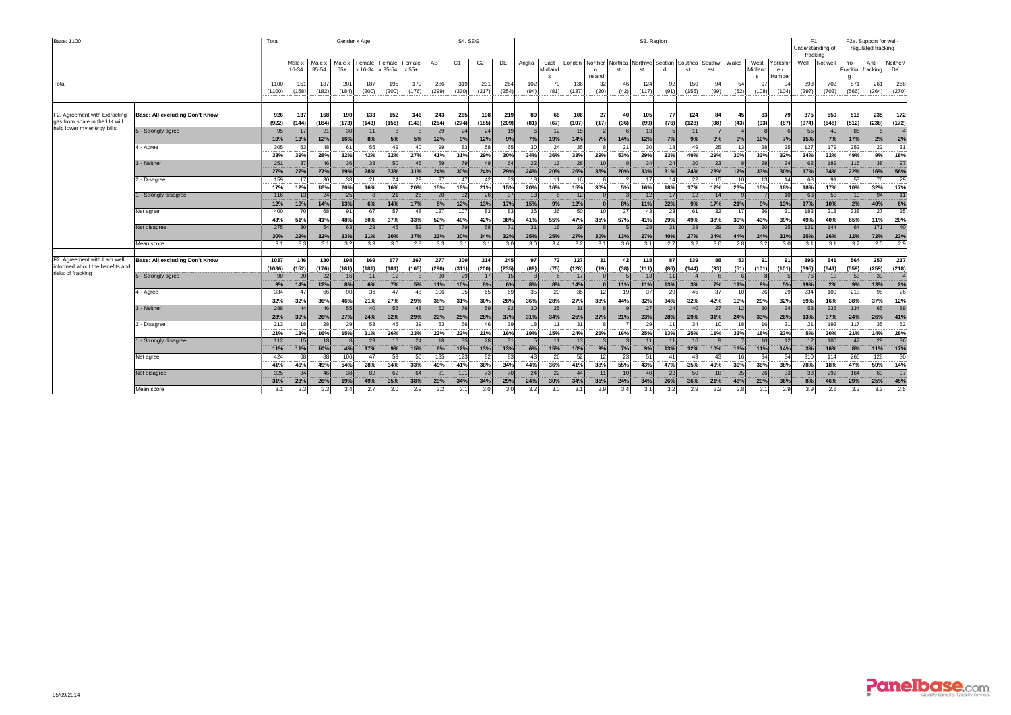| Base: 1100<br>Total                                                                  |                                |                   |                 |                 |                 | Gender x Age |                           |                       |                 | S4. SEG                      |                 |                       | S3. Region           |                                 |                 |                         |                       |                 |                 |                |                 |            |                                 |                          |                  | F1.<br>Understanding of<br>fracking | F2a. Support for well-<br>regulated fracking |                   |                |
|--------------------------------------------------------------------------------------|--------------------------------|-------------------|-----------------|-----------------|-----------------|--------------|---------------------------|-----------------------|-----------------|------------------------------|-----------------|-----------------------|----------------------|---------------------------------|-----------------|-------------------------|-----------------------|-----------------|-----------------|----------------|-----------------|------------|---------------------------------|--------------------------|------------------|-------------------------------------|----------------------------------------------|-------------------|----------------|
|                                                                                      |                                |                   | Male ><br>16-34 | Male ><br>35-54 | Male x<br>$55+$ | Female       | Female<br>x 16-34 x 35-54 | Female<br>x 55+       | AB              | C <sub>1</sub>               | C <sub>2</sub>  | DE                    | Anglia               | East<br>Midland<br>$\mathbf{s}$ | London          | Norther<br>n<br>Ireland | Northea<br>st         | Northwe<br>st   | Scotlan         | Southea<br>st  | Southw<br>est   | Wales      | West<br>Midland<br>$\mathbf{s}$ | Yorkshir<br>e/<br>Humber | Well             | Not wel                             | Pro-<br>Frackin                              | Anti-<br>fracking | Neither/<br>DK |
| Total                                                                                |                                | 110<br>(1100      | 151<br>(158)    | 187<br>(182)    | 201<br>(184)    | 187<br>(200) | 195<br>(200)              | 179<br>(176)          | 286<br>(299)    | 319<br>(330)                 | 231<br>(217)    | 264<br>(254)          | 102<br>(94)          | 79<br>(81)                      | 136<br>(137)    | 3 <sub>2</sub><br>(20)  | 46<br>(42)            | 124<br>(117)    | 92<br>(91)      | 150<br>(155)   | 94<br>(99)      | 54<br>(52) | 97<br>(108)                     | 94<br>(104)              | 398<br>(397)     | 702<br>(703)                        | 571<br>(566)                                 | 261<br>(264)      | 268<br>(270)   |
| F2. Agreement with Extracting<br>gas from shale in the UK will                       | Base: All excluding Don't Know | 926<br>(922)      | 137<br>(144)    | 168<br>(164)    | 190<br>(173)    | 133<br>(143) | 152<br>(155)              | 146<br>(143)          | 243<br>(254)    | 265<br>(274)                 | 198<br>(185)    | 219<br>(209)          | 89<br>(81)           | 66<br>(67)                      | 106<br>(107)    | 27<br>(17)              | 40<br>(36)            | 105<br>(99)     | 77<br>(76)      | 124<br>(128)   | 84<br>(88)      | 45<br>(43) | 83<br>(93)                      | 79<br>(87)               | 375<br>(374)     | 550<br>(548)                        | 518<br>(512)                                 | 235<br>(238)      | 172<br>(172)   |
| help lower my energy bills                                                           | 5 - Strongly agree             | 95<br>10%         | 17<br>13%       | 21<br>12%       | 30<br>16%       | 11<br>8%     | 5%                        | 5%                    | 29<br>12%       | 24<br>9%                     | 24<br>12%       | 1 <sup>c</sup><br>9%  | 7%                   | 12<br>19%                       | 15<br>14%       | 7%                      | 14%                   | 13<br>12%       | 7%              | 11<br>9%       | 9%              | 9%         | 10%                             | 7%                       | 55<br>15%        | 7%                                  | 86<br>17%                                    | 2%                | 2%             |
|                                                                                      | 4 - Agree                      | 305<br>33%        | 53<br>39%       | 48<br>28%       | 61<br>32%       | 55<br>42%    | 49<br>32%                 | 40<br>27%             | 99<br>41%       | 83<br>31%                    | 58<br>29%       | 65<br>30%             | 30<br>34%            | 24<br>36%                       | 35<br>33%       | 29%                     | 21<br>53%             | 30<br>29%       | 18<br>23%       | 49<br>40%      | 25<br>29%       | 13<br>30%  | 28<br>33%                       | 25<br>32%                | 127<br>34%       | 179<br>32%                          | 252<br>49%                                   | 22<br>9%          | 31<br>18%      |
|                                                                                      | 3 - Neither                    | 251<br>27%        | 37<br>27%       | 46<br>27%       | 36<br>19%       | 38<br>28%    | 50<br>33%                 | 45<br>31%             | 59<br>24%       | 79<br>30%                    | 48<br>24%       | 64<br>29%             | 22<br>24%            | 13<br>20%                       | 28<br>26%       | 10<br>35%               | 20%                   | 34<br>33%       | 24<br>31%       | 30<br>24%      | 23<br>28%       | 17%        | 28<br>33%                       | 24<br>30%                | 62<br>17%        | 189<br>34%                          | 116<br>22%                                   | 38<br>16%         | 97<br>56%      |
|                                                                                      | - Disagree                     | 159<br>17%        | 17<br>12%       | 30<br>18%       | 38<br>20%       | 21<br>16%    | 24<br>16%                 | 29<br>20%             | 37<br>15%       | $\Delta$ <sub>7</sub><br>18% | $\Delta$<br>21% | 33<br>15%             | 18<br>20%            | 16%                             | 15%             | 30%                     | 5%                    | 11<br>16%       | 14<br>18%       | 22<br>17%      | 15<br>17%       | 10<br>23%  | 13<br>15%                       | 18%                      | 68<br>18%        | $\mathbf{Q}$<br>17%                 | 53<br>10%                                    | 76<br>32%         | 29<br>17%      |
|                                                                                      | - Strongly disagree            | 116<br>12%<br>400 | 13<br>10%       | 24<br>14%       | 25<br>13%<br>91 | 6%<br>67     | 21<br>14%<br>57           | 25<br>17%             | 20<br>8%<br>127 | 32<br>12%<br>107             | 26<br>13%<br>83 | 37<br>17%<br>83       | 13<br>15%<br>36      | 9%<br>36                        | 12<br>12%<br>50 |                         | 8%<br>27              | 12<br>11%<br>43 | 17<br>22%<br>23 | 12<br>9%<br>61 | 14<br>17%<br>32 | 21%<br>17  | 9%<br>36                        | 10<br>13%                | 63<br>17%<br>182 | 53<br>10%<br>218                    | 10 <sup>1</sup><br>2%<br>338                 | 94<br>40%<br>27   | 11<br>6%<br>35 |
|                                                                                      | Net agree<br>Net disagree      | 43%<br>275        | 70<br>51%<br>30 | 68<br>41%<br>54 | 48%<br>63       | 50%<br>29    | 37%<br>45                 | 48<br>33%<br>53       | 52%<br>57       | 40%<br>79                    | 42%<br>68       | 38%<br>7'             | 41%<br>31            | 55%<br>16                       | 47%<br>29       | 10<br>35%               | 67%                   | 41%<br>28       | 29%<br>31       | 49%<br>33      | 38%<br>29       | 39%<br>20  | 43%<br>20                       | 31<br>39%<br>25          | 49%<br>$131$     | 40%<br>144                          | 65%<br>64                                    | 11%<br>171        | 20%<br>40      |
|                                                                                      | Mean score                     | 30%<br>3.1        | 22%<br>3.3      | 32%<br>3.1      | 33%<br>3.2      | 21%<br>3.3   | 30%<br>3.0                | 37%<br>2.8            | 23%<br>3.3      | 30%<br>3.1                   | 34%<br>3.1      | 32%<br>3.0            | 35%<br>3.0           | 25%<br>3.4                      | 27%<br>3.2      | 30%<br>3.1              | 13%<br>3.6            | 27%<br>3.1      | 40%<br>2.7      | 27%<br>3.2     | 34%<br>3.0      | 44%<br>2.8 | 24%<br>3.2                      | 31%<br>3.0               | 35%<br>3.1       | 26%<br>3.1                          | 12%<br>3.7                                   | 72%<br>2.0        | 23%<br>2.9     |
|                                                                                      |                                |                   |                 |                 |                 |              |                           |                       |                 |                              |                 |                       |                      |                                 |                 |                         |                       |                 |                 |                |                 |            |                                 |                          |                  |                                     |                                              |                   |                |
| F2. Agreement with I am well<br>informed about the benefits and<br>risks of fracking | Base: All excluding Don't Know | 1037<br>(1036)    | 146<br>(152)    | 180<br>(176)    | 198<br>(181)    | 169<br>(181) | 177<br>(181)              | 167<br>(165)          | 277<br>(290)    | 300<br>(311)                 | 214<br>(200)    | 245<br>(235)          | 97<br>(89)           | 73<br>(75)                      | 127<br>(128)    | 31<br>(19)              | 42<br>(38)            | 118<br>(111)    | 87<br>(86)      | 139<br>(144)   | 88<br>(93)      | 53<br>(51) | 91<br>(101)                     | 91<br>(101)              | 396<br>(395)     | 641<br>(641)                        | 564<br>(559)                                 | 257<br>(259)      | 217<br>(218)   |
|                                                                                      | 5 - Strongly agree             | 90<br>9%          | 20<br>14%       | 22<br>12%       | 16<br>8%        | 11<br>6%     | 12<br>7%                  | 5%                    | 30<br>11%       | 29<br>10%                    | 17<br>8%        | 15<br>6%              | $\mathbf{8}$<br>8%   | 6<br>8%                         | 17<br>14%       |                         | 11%                   | 13<br>11%       | 11<br>13%       | 3%             | 7%              | 11%        | 9%                              | 5%                       | 76<br>19%        | 13<br>2%                            | 53<br>9%                                     | 33<br>13%         | 2%             |
|                                                                                      | 4 - Agree                      | 334<br>32%        | 47<br>32%       | 66<br>36%       | 90<br>46%       | 36<br>21%    | 47<br>27%                 | 29%                   | 106<br>38%      | 95<br>31%                    | 65<br>30%       | 6 <sup>C</sup><br>28% | 35<br>36%            | 20<br>28%                       | 35<br>27%       | 12<br>38%               | 1 <sup>c</sup><br>44% | 37<br>32%       | 29<br>34%       | 45<br>32%      | 37<br>42%       | 10<br>19%  | 26<br>29%                       | 29<br>32%                | 234<br>59%       | 100<br>16%                          | 213<br>38%                                   | 95<br>37%         | 26<br>12%      |
|                                                                                      | 3 - Neither                    | 288<br>28%        | 44<br>30%       | 46<br>26%       | 55<br>27%       | 40<br>24%    | 56<br>32%                 | $\overline{A}$<br>29% | 62<br>22%       | 76<br>25%                    | 59<br>28%       | Q <sub>2</sub><br>37% | 30<br>31%            | 25<br>34%                       | 31<br>25%       | 27%                     | 21%                   | 27<br>23%       | 24<br>28%       | 40<br>29%      | 27<br>31%       | 12<br>24%  | 30<br>33%                       | 24<br>26%                | 53<br>13%        | 236<br>37%                          | 134<br>24%                                   | 65<br>26%         | 89<br>41%      |
|                                                                                      | 2 - Disagree                   | 213<br>21%        | 18<br>13%       | 28<br>16%       | 29<br>15%       | 53<br>31%    | 45<br>26%                 | 39<br>23%             | 63<br>23%       | 66<br>22%                    | 46<br>21%       | 39<br>16%             | 18<br>19%            | 11<br>15%                       | 31<br>24%       | 26%                     | 16%                   | 29<br>25%       | 11<br>13%       | 34<br>25%      | 10<br>11%       | 18<br>33%  | 16<br>18%                       | 21<br>23%                | 21<br>5%         | 192<br>30%                          | 117<br>21%                                   | 35<br>14%         | 62<br>28%      |
|                                                                                      | - Strongly disagree            | 112<br>11%        | 15<br>11%       | 18<br>10%       | 4%              | 29<br>17%    | 16<br>9%                  | 24<br>15%             | 18<br>6%        | 35<br>12%                    | 28<br>13%       | 31<br>13%             | 5 <sub>l</sub><br>6% | 11<br>15%                       | 13<br>10%       | 9%                      | 7%                    | 11<br>9%        | 11<br>13%       | 16<br>12%      | 10%             | 13%        | 10 <sup>1</sup><br>11%          | 12<br>14%                | 12<br>3%         | 100<br>16%                          | 47<br>8%                                     | 29<br>11%         | 36<br>17%      |
|                                                                                      | Net agree                      | 424<br>41%        | 68<br>46%       | 88<br>49%       | 106<br>54%      | 47<br>28%    | 59<br>34%                 | 33%                   | 135<br>49%      | 123<br>41%                   | 82<br>38%       | 34%                   | 43<br>44%            | 26<br>36%                       | 52<br>41%       | 12<br>38%               | 23<br>55%             | 51<br>43%       | 41<br>47%       | 49<br>35%      | 43<br>49%       | 16<br>30%  | 34<br>38%                       | 34<br>38%                | 310<br>78%       | 114<br>18%                          | 266<br>47%                                   | 128<br>50%        | 30<br>14%      |
|                                                                                      | Net disagree                   | 325<br>31%        | 34<br>23%       | 46<br>26%       | 38<br>19%       | 82<br>49%    | 62<br>35%                 | 64<br>38%             | 81<br>29%       | 101<br>34%                   | 73<br>34%       | 70<br>29%             | 24<br>24%            | 22<br>30%                       | 44<br>34%       | 11<br>35%               | 10<br>24%             | 40<br>34%       | 22<br>26%       | 50<br>36%      | 18<br>21%       | 25<br>46%  | 26<br>29%                       | 33<br>36%                | 33<br>8%         | 292<br>46%                          | 164<br>29%                                   | 63<br>25%         | 97<br>45%      |
|                                                                                      | Mean score                     | 3.1               | 3.3             | 3.3             | 3.4             | 2.7          | 3.0                       |                       | 3.2             | 3.1                          | 3.0             | 3.0                   | 3.2                  | 3.0                             | 3.1             | 2.9                     | 3.4                   | 3.1             | 3.2             | 2.9            | 3.2             | 2.8        | 3.1                             | 2.9                      | 3.9              | 2.6                                 | 3.2                                          | 3.3               | 2.5            |

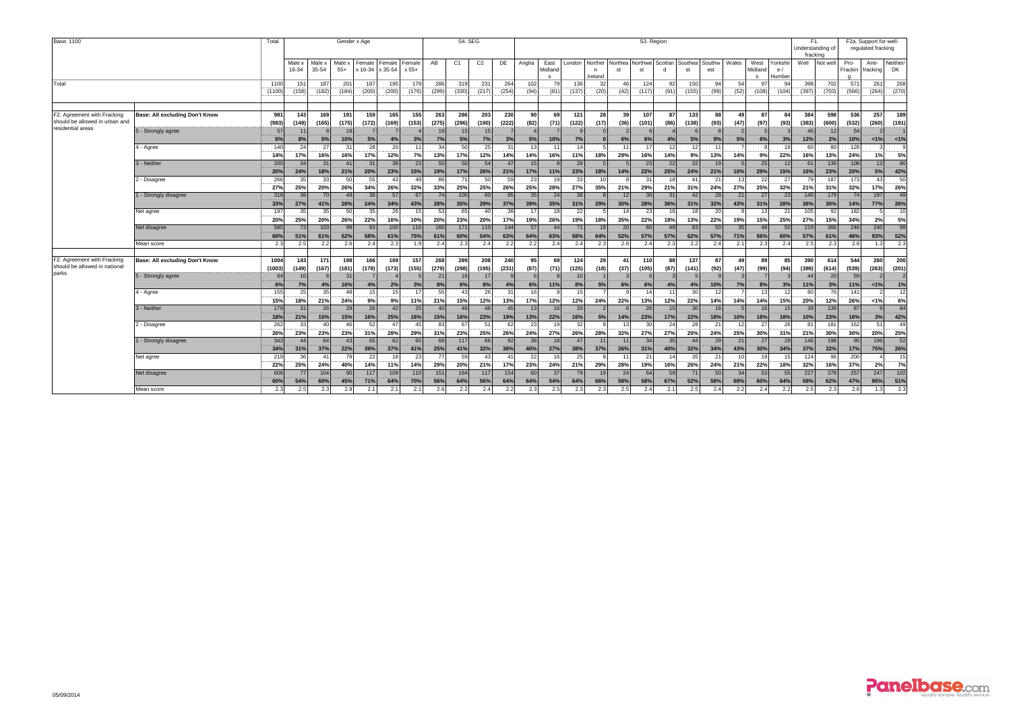| Base: 1100                                                            |                                |                   |                  |                              |                        | Gender x Age     |                                  |                   |                  |                  | S4. SEG          |                  | S3. Region       |                                 |                  |                         |                       |                  |                  |                        |                  |                    |                        |                         |                       | F1.<br>Understanding of<br>fracking |                   | F2a. Support for well-<br>regulated fracking |                              |  |
|-----------------------------------------------------------------------|--------------------------------|-------------------|------------------|------------------------------|------------------------|------------------|----------------------------------|-------------------|------------------|------------------|------------------|------------------|------------------|---------------------------------|------------------|-------------------------|-----------------------|------------------|------------------|------------------------|------------------|--------------------|------------------------|-------------------------|-----------------------|-------------------------------------|-------------------|----------------------------------------------|------------------------------|--|
|                                                                       |                                |                   | Male x<br>16-34  | Male:<br>35-54               | Male x<br>$55+$        |                  | Female Female<br>x 16-34 x 35-54 | Female<br>x 55+   | AB               | C <sub>1</sub>   | C <sub>2</sub>   | DE               | Anglia           | East<br>Midland<br>$\mathbf{s}$ | London           | Norther<br>n<br>Ireland | Northea Northwe<br>st | st               | Scotlan          | Southea<br>st          | Southw<br>est    | Wales              | West<br>Midland<br>s   | Yorkshi<br>e/<br>Humber | Well                  | Not wel                             | Pro-<br>Frackin   | Anti-<br>fracking                            | Neither/<br>DK               |  |
| Total                                                                 |                                | 110<br>(1100)     | 15'<br>(158)     | 187<br>(182)                 | 201<br>(184)           | 187<br>(200)     | 195<br>(200)                     | 179<br>(176)      | 286<br>(299)     | 319<br>(330)     | 231<br>(217)     | 264<br>(254)     | 102<br>(94)      | 79<br>(81)                      | 136<br>(137)     | 32<br>(20)              | 46<br>(42)            | 124<br>(117)     | 92<br>(91)       | 150<br>(155)           | 94<br>(99)       | 54<br>(52)         | 97<br>(108)            | 94<br>(104)             | 398<br>(397)          | 702<br>(703)                        | 571<br>(566)      | 261<br>(264)                                 | 268<br>(270)                 |  |
| F2. Agreement with Fracking<br>should be allowed in urban and         | Base: All excluding Don't Know | 981<br>(983)      | 143<br>(149)     | 169<br>(165)                 | 191<br>(175)           | 159<br>(172)     | 165<br>(169)                     | 155<br>(153)      | 263<br>(275)     | 286<br>(296)     | 203<br>(190)     | 230<br>(222)     | 90<br>(82)       | 69<br>(71)                      | 121<br>(122)     | 28<br>(17)              | 39<br>(36)            | 107<br>(101)     | 87<br>(86)       | 133<br>(138)           | 88<br>(93)       | 49<br>(47)         | 87<br>(97)             | 84<br>(93)              | 384<br>(383)          | 598<br>(600)                        | 536<br>(532)      | 257<br>(260)                                 | 189<br>(191)                 |  |
| residential areas                                                     | 5 - Strongly agree             | 57<br>6%          | 1<br>8%          | 5%                           | 19<br>10%              | 5%               | 4%                               | 3%                | 19<br>7%         | 15<br>5%         | 15<br>7%         | 3%               | 5%               | 10%                             | 7%               |                         | 6%                    | 6%               | 4%               | 5%                     | 9%               | 5%                 | 6%                     | 3%                      | 12%                   | 2%                                  | 54<br>10%         | 1%                                           | 1%                           |  |
|                                                                       | 4 - Agree<br>3 - Neither       | 140<br>14%<br>200 | 24<br>17%<br>34  | 27<br>16%<br>31              | 31<br>16%<br>41        | 28<br>17%<br>31  | 20<br>12%<br>38                  | 7%<br>23          | 34<br>13%<br>50  | 50<br>17%<br>50  | 25<br>12%<br>54  | 14%<br>47        | 13<br>14%<br>15  | 11<br>16%                       | 14<br>11%<br>28  | 18%                     | 11<br>29%             | 17<br>16%<br>23  | 12<br>14%<br>22  | 12<br>9%<br>32         | 11<br>13%<br>19  | 14%                | 9%<br>25               | 22%<br>12               | 60<br>16%<br>61       | R<br>13%<br>139                     | 128<br>24%<br>108 | 1%<br>12                                     | 5%<br>80                     |  |
|                                                                       | - Disagree                     | 20%<br>266        | 24%<br>35        | 18%<br>33                    | 21%<br>50              | 20%<br>55        | 23%<br>43                        | 15%<br>$\Delta$ C | 19%<br>86        | 17%              | 26%<br>50        | 21%<br>50        | 17%<br>23        | 11%                             | 23%<br>33        | 18%<br>10 <sup>1</sup>  | 14%                   | 22%<br>31        | 25%<br>15        | 24%<br>41              | 21%<br>21        | 10%<br>13          | 29%<br>22              | 15%<br>27               | 16%<br>70             | 23%<br>187                          | 20%<br>173        | 5%<br>43                                     | 42%<br>50                    |  |
|                                                                       | - Strongly disagree            | 27%<br>319        | 25%<br>38        | 20%<br>70<br>41%             | 26%<br>49              | 34%<br>38        | 26%<br>57                        | 32%<br>67<br>43%  | 33%<br>74        | 25%<br>100       | 25%<br>60        | 26%<br>85        | 25%<br>35        | 28%<br>24                       | 27%<br>38        | 35%                     | 21%<br>12             | 29%<br>30<br>28% | 21%<br>31<br>36% | 31%<br>42              | 24%<br>28<br>32% | 27%<br>21          | 25%<br>27              | 32%<br>23               | 21%<br>140            | 31%<br>179                          | 32%<br>74         | 17%<br>197<br>77%                            | 26%<br>49                    |  |
|                                                                       | Net agree                      | 33%<br>197<br>20% | 27%<br>35<br>25% | 35<br>20%                    | 26%<br>50<br>26%       | 24%<br>35<br>22% | 34%<br>26<br>16%                 | 15<br>10%         | 28%<br>53<br>20% | 35%<br>65<br>23% | 29%<br>40<br>20% | 37%<br>38<br>17% | 39%<br>17<br>19% | 35%<br>18<br>26%                | 31%<br>22<br>19% | 29%<br>18%              | 30%<br>14<br>35%      | 23<br>22%        | 16<br>18%        | 31%<br>18<br>13%       | 20<br>22%        | 43%<br>q<br>19%    | 31%<br>13<br>15%       | 28%<br>21<br>25%        | 36%<br>105<br>27%     | 30%<br>92<br>15%                    | 14%<br>182<br>34% | 5<br>2%                                      | 26%<br>10 <sup>1</sup><br>5% |  |
|                                                                       | Net disagree                   | 585<br>60%        | 73<br>51%        | 103<br>61%                   | 99<br>52%              | 93<br>58%        | 100<br>61%                       | 116<br>75%        | 160<br>61%       | 171<br>60%       | 110<br>54%       | 144<br>63%       | 57<br>64%        | $\Delta\ell$<br>63%             | 71<br>58%        | 18<br>64%               | 20<br>52%             | 60<br>57%        | 49<br>57%        | 83<br>62%              | 50<br>57%        | 35<br>71%          | 48<br>56%              | 50<br>60%               | 219<br>57%            | 366<br>61%                          | 246<br>46%        | 240<br>93%                                   | 99<br>52%                    |  |
|                                                                       | Mean score                     | 2.3               | 2.5              | 2.2                          | 2.6                    | 2.4              | 2.3                              | 1.9               | 2.4              | 2.3              | 2.4              | 2.2              | 2.2              | 2.4                             | 2.4              | 2.3                     | 2.6                   | 2.4              | 2.3              | 2.2                    | 2.4              | 2.1                | 2.3                    | 2.4                     | 2.5                   | 2.3                                 | 2.8               | 1.3                                          | 2.3                          |  |
| F2. Agreement with Fracking<br>should be allowed in national<br>parks | Base: All excluding Don't Know | 1004<br>(1003)    | 143<br>(149)     | 171<br>(167)                 | 198<br>(181)           | 166<br>(178)     | 169<br>(173)                     | 157<br>(155)      | 268<br>(279)     | 289<br>(298)     | 208<br>(195)     | 240<br>(231)     | 95<br>(87)       | 69<br>(71)                      | 124<br>(125)     | 29<br>(18)              | 41<br>(37)            | 110<br>(105)     | 88<br>(87)       | 137<br>(141)           | 87<br>(92)       | 49<br>(47)         | 89<br>(99)             | 85<br>(94)              | 390<br>(389)          | 614<br>(614)                        | 544<br>(539)      | <b>260</b><br>(263)                          | 200<br>(201)                 |  |
|                                                                       | 5 - Strongly agree             | 64                | 10<br>7%         | 4%                           | 31<br>16%              | 4%               | 2%                               | 3%                | 21<br>8%         | 16<br>6%         | 17<br>8%         | 4%               | 6%               | 11%                             | 10<br>8%         | 5%                      | 6%                    | 6%               | 4%               | 4%                     | 10%              | $\mathbf{3}$<br>7% | 8%                     | 3%                      | $\Delta\Delta$<br>11% | 20<br>3%                            | 59<br>11%         | $< 1\%$                                      | 1%                           |  |
|                                                                       | 4 - Agree                      | 155<br>15%        | 25<br>18%        | 35<br>21%                    | 48<br>24%              | 15<br>9%         | 15<br>9%                         | 11%               | 55<br>21%        | 43<br>15%        | 26<br>12%        | 31<br>13%        | 16<br>17%        | 12%                             | 15<br>12%        | 24%                     | 22%                   | 14<br>13%        | 11<br>12%        | 30<br>22%              | 12<br>14%        | 14%                | 13<br>14%              | 12<br>15%               | 80<br>20%             | 76<br>12%                           | 141<br>26%        | 1%                                           | 12<br>6%                     |  |
|                                                                       | 3 - Neither                    | 179<br>18%        | 31<br>21%        | 26<br>15%                    | 29<br>15%              | 26<br>16%        | 42<br>25%                        | 25<br>16%         | 40<br>15%        | 46<br>16%        | 48<br>23%        | 45<br>19%        | 13<br>13%        | 16<br>22%                       | 20<br>16%        | 5%                      | 14%                   | 26<br>23%        | 15<br>17%        | 30 <sup>1</sup><br>22% | 16<br>18%        | 10%                | 16 <sup>1</sup><br>18% | 18%                     | 39<br>10%             | 139<br>23%                          | 87<br>16%         | 3%                                           | 84<br>42%                    |  |
|                                                                       | 2 - Disagree                   | 262<br>26%        | 33<br>23%        | 40<br>23%                    | 46<br>23%              | 52<br>31%        | 47<br>28%                        | 45<br>29%         | 83<br>31%        | 67<br>23%        | 51<br>25%        | 62<br>26%        | 23<br>24%        | 19<br>27%                       | 32<br>26%        | 28%                     | 13<br>32%             | 30<br>27%        | 24<br>27%        | 28<br>20%              | 21<br>24%        | 12<br>25%          | 27<br>30%              | 26<br>31%               | 81<br>21%             | 181<br>30%                          | 162<br>30%        | 51<br>20%                                    | 49<br>25%                    |  |
|                                                                       | - Strongly disagree            | 343<br>34%        | 44<br>31%        | 64<br>37%                    | 43<br>22%              | 65<br>39%        | 62<br>37%                        | 65<br>41%         | 68<br>25%        | 117<br>41%       | 66<br>32%        | 92<br>38%        | 38<br>40%        | 18<br>27%                       | 47<br>38%        | 11<br>37%               | 11<br>26%             | 34<br>31%        | 35<br>40%        | 44<br>32%              | 29<br>34%        | 21<br>43%          | 27<br>30%              | 29<br>34%               | 146<br>37%            | 198<br>32%                          | 95<br>17%         | 196<br>75%                                   | 52<br>26%                    |  |
|                                                                       | Net agree                      | 219<br>22%        | 36<br>25%        | $\mathbf{4}^{\prime}$<br>24% | 79<br>40%              | 22<br>14%        | 11%                              | 23<br>14%         | 77<br>29%        | 59<br>20%        | 43<br>21%        | 17%              | 22<br>23%        | 16<br>24%                       | 25<br>21%        | 29%                     | 11<br>28%             | 21<br>19%        | 16%              | 35<br>26%              | 21<br>24%        | 10<br>21%          | 19<br>22%              | 18%                     | 124<br>32%            | $Q_{\rm f}$<br>16%                  | 200<br>37%        | 2%                                           | 15<br>7%                     |  |
|                                                                       | Net disagree                   | 606<br>60%        | 77<br>54%        | 104<br>60%                   | 90 <sub>0</sub><br>45% | 117<br>71%       | 109<br>64%                       | 110<br>70%        | 151<br>56%       | 184<br>64%       | 117<br>56%       | 154<br>64%       | 60<br>64%        | 37<br>54%                       | 79<br>64%        | 19<br>66%               | 24<br>58%             | 64<br>58%        | 59<br>67%        | 71<br>52%              | 50<br>58%        | 34<br>69%          | 53<br>60%              | 55<br>64%               | 227<br>58%            | 379<br>62%                          | 257<br>47%        | 247<br>95%                                   | 102<br>51%                   |  |
|                                                                       | Mean score                     | 2.3               | 2.5              | 2.3                          | 2.9                    | 2.1              | 2.1                              | 2.1               | 2.6              | 2.2              | 2.4              | 2.2              | 2.3              | 2.5                             | 2.3              | 2.3                     | 2.5                   | 2.4              | 2.1              | 2.5                    | 2.4              | 2.2                | 2.4                    | 2.2                     | 2.5                   | 2:                                  | 2.8               | 1.3                                          | 2.3                          |  |

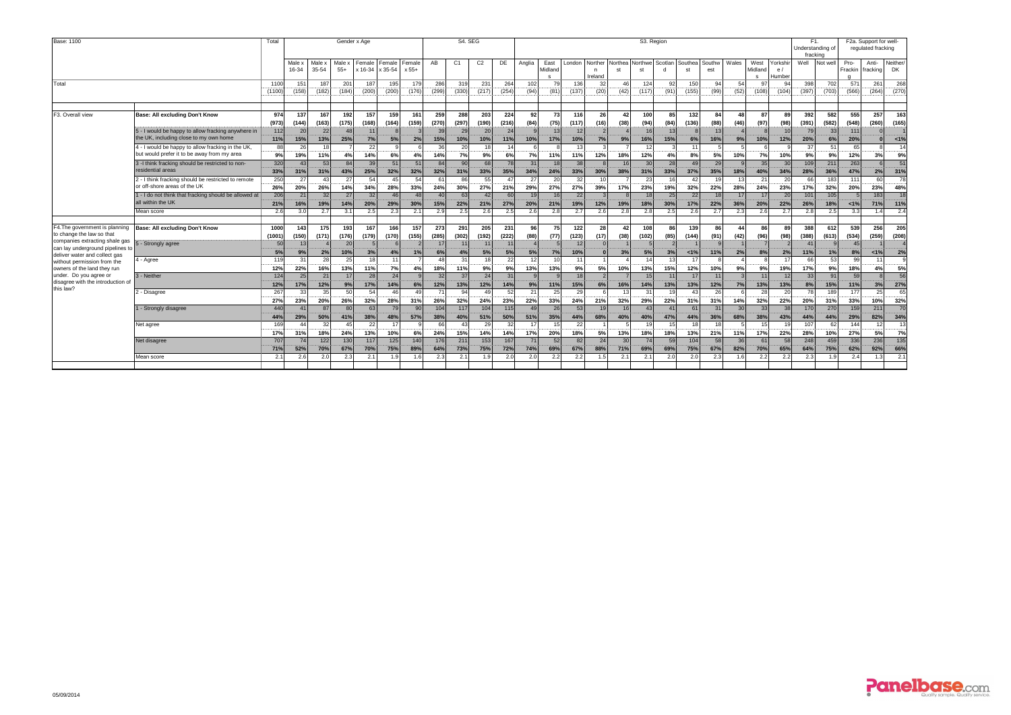| Base: 1100                                                                                    |                                                                                                  |                     |                 |                     | Gender x Age    |                     |                   |                    |                        | S4. SEG<br>S3. Region |                 |              |                |                                 |                      |                         |               |                          |            |                | F1.<br>Understanding of<br>fracking |            | F2a. Support for well-<br>regulated fracking |                        |                                  |              |                 |                   |                       |
|-----------------------------------------------------------------------------------------------|--------------------------------------------------------------------------------------------------|---------------------|-----------------|---------------------|-----------------|---------------------|-------------------|--------------------|------------------------|-----------------------|-----------------|--------------|----------------|---------------------------------|----------------------|-------------------------|---------------|--------------------------|------------|----------------|-------------------------------------|------------|----------------------------------------------|------------------------|----------------------------------|--------------|-----------------|-------------------|-----------------------|
|                                                                                               |                                                                                                  |                     | Male x<br>16-34 | Male ><br>35-54     | Male x<br>$55+$ | Female I<br>x 16-34 | Female<br>x 35-54 | Female<br>$x 55+$  | AB                     | C1                    | C <sub>2</sub>  | DE           | Anglia         | East<br>Midland<br>$\mathbf{s}$ | London               | Norther<br>n<br>Ireland | Northea<br>st | Northwe<br>st            | Scotlan    | Southeal<br>st | Southw<br>est                       | Wales      | West<br>Midland<br>-S                        | Yorkshi<br>e/<br>Humbe |                                  | Well Not wel | Pro-<br>Frackin | Anti-<br>fracking | Neither/<br><b>DK</b> |
| Total                                                                                         |                                                                                                  | 1100<br>(1100       | 151<br>(158)    | 187<br>(182)        | 201<br>(184)    | 187<br>(200)        | 195<br>(200)      | 179<br>(176)       | 286<br>(299)           | 319<br>(330)          | 231<br>(217)    | 264<br>(254) | 102<br>(94)    | 79<br>(81)                      | 136<br>(137)         | $\mathcal{Z}$<br>(20)   | 46<br>(42)    | 124<br>(117)             | 92<br>(91) | 150<br>(155)   | 94<br>(99)                          | 54<br>(52) | 97<br>(108)                                  | $Q_4$<br>(104)         | 398<br>(397)                     | 702<br>(703) | 571<br>(566)    | 261<br>(264)      | 268<br>(270)          |
| F3. Overall view                                                                              | Base: All excluding Don't Know                                                                   | 974<br>(973)        | 137<br>(144)    | 167<br>(163)        | 192<br>(175)    | 157<br>(168)        | 159<br>(164)      | 161<br>(159)       | 259<br>(270)           | 288<br>(297)          | 203<br>(190)    | 224<br>(216) | 92<br>(84)     | 73<br>(75)                      | 116<br>(117)         | 26<br>(16)              | 42<br>(38)    | 100 <sup>1</sup><br>(94) | 85<br>(84) | 132<br>(136)   | 84<br>(88)                          | 48<br>(46) | 87<br>(97)                                   | 89<br>(98)             | 392<br>(391)                     | 582<br>(582) | 555<br>(548)    | 257<br>(260)      | 163<br>(165)          |
|                                                                                               | 5 - I would be happy to allow fracking anywhere in<br>the UK, including close to my own home     | 112<br>11%          | 20<br>15%       | 22<br>13%           | 48<br>25%       | 11<br>7%            | 5%                | 2%                 | 39<br>15%              | 29<br>10%             | 20<br>10%       | 24<br>11%    | $\circ$<br>10% | 13<br>17%                       | 12<br>10%            | 7%                      | 9%            | 16<br>16%                | 13<br>15%  | 6%             | 13<br>16%                           | 9%         | 10%                                          | 10<br>12%              | 79<br>20%                        | 33<br>6%     | 111<br>20%      |                   | 1%                    |
|                                                                                               | 4 - I would be happy to allow fracking in the UK,<br>but would prefer it to be away from my area | 88<br>9%            | 26<br>19%       | 11%                 | 4%              | 22<br>14%           | 6%                | 4%                 | 36<br>14%              | 20<br>7%              | 9%              | 6%           | 7%             | 11%                             | 13<br>11%            | 12%                     | 18%           | 12<br>12%                | 4%         | 8%             | 5%                                  | 10%        | 7%                                           | 10%                    | 37<br>9%                         | 5'<br>9%     | 65<br>12%       | 3%                | 14<br>9%              |
|                                                                                               | 3 -I think fracking should be restricted to non-<br>residential areas                            | 320<br>33%          | 43<br>31%       | 53<br>31%           | 84<br>43%       | 39<br>25%           | 51<br>32%         | 51<br>32%          | 84<br>32%              | 90<br>31%             | 68<br>33%       | 78<br>35%    | 31<br>34%      | 18<br>24%                       | 38<br>33%            | 30%                     | 16<br>38%     | 30<br>31%                | 28<br>33%  | 49<br>37%      | 29<br>35%                           | 18%        | 35<br>40%                                    | 30<br>34%              | 109<br>28%                       | 211<br>36%   | 263<br>47%      | 2%                | 51<br>31%             |
|                                                                                               | 2 - I think fracking should be restricted to remote<br>or off-shore areas of the UK              | 250<br>26%          | 27<br>20%       | 43<br>26%           | 27<br>14%       | 54<br>34%           | 45<br>28%         | 54<br>33%          | 61<br>24%              | 86<br>30%             | 55<br>27%       | 47<br>21%    | 27<br>29%      | 20<br>27%                       | $\mathcal{Z}$<br>27% | 10<br>39%               | 17%           | 23<br>23%                | 16<br>19%  | 42<br>32%      | 19<br>22%                           | 13<br>28%  | 21<br>24%                                    | $\overline{2}$<br>23%  | 66<br>17%                        | 183<br>32%   | 111<br>20%      | 60<br>23%         | 78<br>48%             |
|                                                                                               | 1 - I do not think that fracking should be allowed at<br>all within the UK                       | 206<br>21%          | 21<br>16%       | 32<br>19%           | 27<br>14%       | 32<br>20%           | 46<br>29%         | 48<br>30%          | $\Delta \Omega$<br>15% | 63<br>22%             | $\Delta$<br>21% | 60<br>27%    | 19<br>20%      | 16<br>21%                       | 22<br>19%            | 12%                     | 19%           | 18<br>18%                | 25<br>30%  | 22<br>17%      | 18<br>22%                           | 17<br>36%  | 17<br>20%                                    | 20<br>22%              | 101<br>26%                       | 105<br>18%   | 1%              | 183<br>71%        | 18<br>11%             |
|                                                                                               | Mean score                                                                                       | 2.6                 | 3.0             | 2.7                 | 3.1             | 2.5                 | 2.3               | 2.1                | 2.9                    | 2.5                   | 2.6             | 2.5          | 2.6            | 2.8                             | 2.7                  | 2.6                     | 2.8           | 2.8                      | 2.5        | 2.6            | 2.7                                 | 2.3        | 2.6                                          | 2.7                    | 2.8                              | 2.5          | 3.3             | 1.4               | 2.4                   |
| F4. The government is planning<br>to change the law so that<br>companies extracting shale gas | <b>Base: All excluding Don't Know</b>                                                            | 1000<br>(1001)      | 143<br>(150)    | <b>175</b><br>(171) | 193<br>(176)    | 167<br>(179)        | 166<br>(170)      | 157<br>(155)       | 273<br>(285)           | 291<br>(302)          | 205<br>(192)    | 231<br>(222) | 96<br>(88)     | <b>75</b><br>(77)               | 122<br>(123)         | 28<br>(17)              | 42<br>(38)    | 108<br>(102)             | 86<br>(85) | 139<br>(144)   | 86<br>(91)                          | 44<br>(42) | 86<br>(96)                                   | 89<br>(98)             | 388<br>(388)                     | 612<br>(613) | 539<br>(534)    | 256<br>(259)      | 205<br>(208)          |
| can lay underground pipelines to<br>deliver water and collect gas                             | - Strongly agree                                                                                 | 50<br>5%            | 13<br>9%        | 2%                  | 20<br>10%       | 3%                  | 4%                | 1%                 | 17<br>6%               | 11<br>4%              | 11<br>5%        | 11<br>5%     | 5%             | 7%                              | 12<br>10%            |                         | 3%            | 5%                       | 3%         | 1%             | 11%                                 | 2%         | 8%                                           | 2%                     | $\mathbf{A}$ <sup>+</sup><br>11% | 1%           | 45<br>8%        | 1%                | 2%                    |
| without permission from the<br>owners of the land they run                                    | - Agree                                                                                          | 119<br><br>12%      | 31<br>22%       | 28<br>16%           | 25<br>13%       | 18<br>11%           | 11<br>7%          | 4%                 | 48<br>18%              | 31<br>11%             | 18<br>9%        | 22<br>9%     | 12<br>13%      | 10<br>13%                       | 11<br>9%             | 5%                      | 10%           | 14<br>13%                | 13<br>15%  | 17<br>12%      | 10%                                 | 9%         | 9%                                           | 19%                    | 66<br>17%                        | 53<br>9%     | 99<br>18%       | 11<br>4%          | 5%                    |
| under. Do you agree or<br>disagree with the introduction of<br>this law?                      | 3 - Neither                                                                                      | 124<br>12%          | 25<br>17%       | 21<br>12%           | 17<br>9%        | 28<br>17%           | 24<br>14%         | 6%                 | 32<br>12%              | 37<br>13%             | 24<br>12%       | 31<br>14%    | $\circ$<br>9%  | 11%                             | 18<br>15%            | 6%                      | 16%           | 15<br>14%                | 11<br>13%  | 17<br>13%      | 11<br>12%                           | 7%         | 11<br>13%                                    | 12<br>13%              | 33<br>8%                         | 91<br>15%    | 59<br>11%       | 3%                | 56<br>27%             |
|                                                                                               | - Disagree                                                                                       | 267<br>$27^{\circ}$ | 33<br>23%       | 35<br>20%           | 50<br>26%       | 54<br>32%           | 46<br>28%         | $\Lambda$ Q<br>31% | 71<br>26%              | 94<br>32%             | 49<br>24%       | 52<br>23%    | 21<br>22%      | 25<br>33%                       | 29<br>24%            | 21%                     | 13<br>32%     | 31<br>29%                | 19<br>22%  | 43<br>31%      | 26<br>31%                           | 14%        | 28<br>32%                                    | $\overline{2}$<br>22%  | 78<br>20%                        | 189<br>31%   | 177<br>33%      | 25<br>10%         | 65<br>32%             |
|                                                                                               | - Strongly disagree                                                                              | 440<br>44%          | 41<br>29%       | 87<br>50%           | 80<br>41%       | 63<br>38%           | 79<br>48%         | 90<br>57%          | 104<br>38%             | 117<br>40%            | 104<br>51%      | 115<br>50%   | 49<br>51%      | 26<br>35%                       | 53<br>44%            | 19<br>68%               | 16<br>40%     | 43<br>40%                | 41<br>47%  | 61<br>44%      | 31<br>36%                           | 30<br>68%  | 33<br>38%                                    | 38<br>43%              | 170<br>44%                       | 270<br>44%   | 159<br>29%      | 211<br>82%        | 70<br>34%             |
|                                                                                               | Net agree                                                                                        | 169<br>17%          | 44<br>31%       | 32<br>18%           | 45<br>24%       | 22<br>13%           | 17<br>10%         | 6%                 | 66<br>24%              | 43<br>15%             | 29<br>14%       | 32<br>14%    | 17<br>17%      | 15<br>20%                       | 22<br>18%            | 5%                      | 13%           | 19<br>18%                | 15<br>18%  | 18<br>13%      | 18<br>21%                           | 11%        | 15<br>17%                                    | 19<br>22%              | 107<br>28%                       | 62<br>10%    | 144<br>27%      | 12<br>5%          | 13<br>7%              |
|                                                                                               | Net disagree                                                                                     | 707<br>71%          | 74<br>52%       | 122<br>70%          | 130<br>67%      | 117<br>70%          | 125<br>75%        | 140<br>89%         | 176<br>64%             | 211<br>73%            | 153<br>75%      | 167<br>72%   | 71<br>74%      | 52<br>69%                       | 82<br>67%            | 24<br>88%               | 30<br>71%     | 74<br>69%                | 59<br>69%  | 104<br>75%     | 58<br>67%                           | 36<br>82%  | 61<br>70%                                    | 58<br>65%              | 248<br>64%                       | 459<br>75%   | 336<br>62%      | 236<br>92%        | 135<br>66%            |
|                                                                                               | Mean score                                                                                       | 2.1                 | 2.6             | 2.0                 | 2.3             | 2.1                 | 1.9               | 1.6                | 2.3                    | 2.1                   | 1.9             | 2.0          | 2.0            | 2.2                             | 2.2                  | 1.5                     | 2.1           | 2.1                      | 2.0        | 2.0            | 2.3                                 | 1.6        | 2.2                                          | 2.2                    | 2.3                              | 1.9          | 2.4             | 1.3               | 2.1                   |